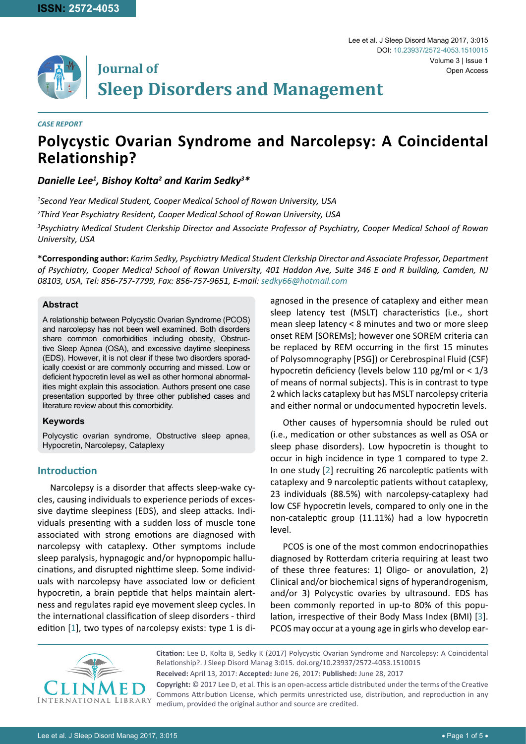# **Journal of Sleep Disorders and Management**

#### *CASE REPORT*

# **Polycystic Ovarian Syndrome and Narcolepsy: A Coincidental Relationship?**

# *Danielle Lee1 , Bishoy Kolta2 and Karim Sedky3 \**

*1 Second Year Medical Student, Cooper Medical School of Rowan University, USA*

*2 Third Year Psychiatry Resident, Cooper Medical School of Rowan University, USA*

*3 Psychiatry Medical Student Clerkship Director and Associate Professor of Psychiatry, Cooper Medical School of Rowan University, USA*

**\*Corresponding author:** *Karim Sedky, Psychiatry Medical Student Clerkship Director and Associate Professor, Department of Psychiatry, Cooper Medical School of Rowan University, 401 Haddon Ave, Suite 346 E and R building, Camden, NJ 08103, USA, Tel: 856-757-7799, Fax: 856-757-9651, E-mail: sedky66@hotmail.com*

#### **Abstract**

A relationship between Polycystic Ovarian Syndrome (PCOS) and narcolepsy has not been well examined. Both disorders share common comorbidities including obesity, Obstructive Sleep Apnea (OSA), and excessive daytime sleepiness (EDS). However, it is not clear if these two disorders sporadically coexist or are commonly occurring and missed. Low or deficient hypocretin level as well as other hormonal abnormalities might explain this association. Authors present one case presentation supported by three other published cases and literature review about this comorbidity.

#### **Keywords**

Polycystic ovarian syndrome, Obstructive sleep apnea, Hypocretin, Narcolepsy, Cataplexy

# **Introduction**

Narcolepsy is a disorder that affects sleep-wake cycles, causing individuals to experience periods of excessive daytime sleepiness (EDS), and sleep attacks. Individuals presenting with a sudden loss of muscle tone associated with strong emotions are diagnosed with narcolepsy with cataplexy. Other symptoms include sleep paralysis, hypnagogic and/or hypnopompic hallucinations, and disrupted nighttime sleep. Some individuals with narcolepsy have associated low or deficient hypocretin, a brain peptide that helps maintain alertness and regulates rapid eye movement sleep cycles. In the international classification of sleep disorders - third edition [[1](#page-3-2)], two types of narcolepsy exists: type 1 is diagnosed in the presence of cataplexy and either mean sleep latency test (MSLT) characteristics (i.e., short mean sleep latency < 8 minutes and two or more sleep onset REM [SOREMs]; however one SOREM criteria can be replaced by REM occurring in the first 15 minutes of Polysomnography [PSG]) or Cerebrospinal Fluid (CSF) hypocretin deficiency (levels below 110 pg/ml or  $< 1/3$ of means of normal subjects). This is in contrast to type 2 which lacks cataplexy but has MSLT narcolepsy criteria and either normal or undocumented hypocretin levels.

Other causes of hypersomnia should be ruled out (i.e., medication or other substances as well as OSA or sleep phase disorders). Low hypocretin is thought to occur in high incidence in type 1 compared to type 2. In one study [[2](#page-3-0)] recruiting 26 narcoleptic patients with cataplexy and 9 narcoleptic patients without cataplexy, 23 individuals (88.5%) with narcolepsy-cataplexy had low CSF hypocretin levels, compared to only one in the non-cataleptic group (11.11%) had a low hypocretin level.

PCOS is one of the most common endocrinopathies diagnosed by Rotterdam criteria requiring at least two of these three features: 1) Oligo- or anovulation, 2) Clinical and/or biochemical signs of hyperandrogenism, and/or 3) Polycystic ovaries by ultrasound. EDS has been commonly reported in up-to 80% of this population, irrespective of their Body Mass Index (BMI) [\[3\]](#page-3-1). PCOS may occur at a young age in girls who develop ear-



**Citation:** Lee D, Kolta B, Sedky K (2017) Polycystic Ovarian Syndrome and Narcolepsy: A Coincidental Relationship?. J Sleep Disord Manag 3:015. [doi.org/10.23937/2572-4053.1510015](https://doi.org/10.23937/2572-4053.1510015) **Received:** April 13, 2017: **Accepted:** June 26, 2017: **Published:** June 28, 2017 **Copyright:** © 2017 Lee D, et al. This is an open-access article distributed under the terms of the Creative

Commons Attribution License, which permits unrestricted use, distribution, and reproduction in any medium, provided the original author and source are credited.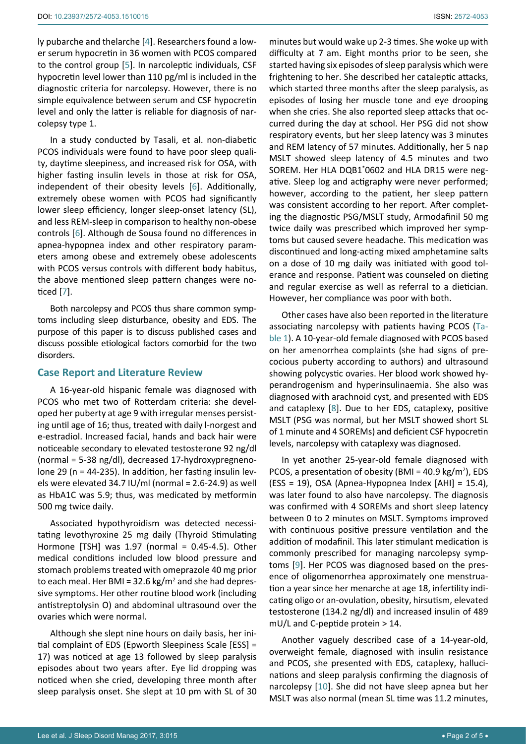ly pubarche and thelarche [\[4\]](#page-3-3). Researchers found a lower serum hypocretin in 36 women with PCOS compared to the control group [\[5\]](#page-3-4). In narcoleptic individuals, CSF hypocretin level lower than 110 pg/ml is included in the diagnostic criteria for narcolepsy. However, there is no simple equivalence between serum and CSF hypocretin level and only the latter is reliable for diagnosis of narcolepsy type 1.

In a study conducted by Tasali, et al. non-diabetic PCOS individuals were found to have poor sleep quality, daytime sleepiness, and increased risk for OSA, with higher fasting insulin levels in those at risk for OSA, independent of their obesity levels [\[6](#page-3-5)]. Additionally, extremely obese women with PCOS had significantly lower sleep efficiency, longer sleep-onset latency (SL), and less REM-sleep in comparison to healthy non-obese controls [\[6\]](#page-3-5). Although de Sousa found no differences in apnea-hypopnea index and other respiratory parameters among obese and extremely obese adolescents with PCOS versus controls with different body habitus, the above mentioned sleep pattern changes were noticed [[7](#page-3-6)].

Both narcolepsy and PCOS thus share common symptoms including sleep disturbance, obesity and EDS. The purpose of this paper is to discuss published cases and discuss possible etiological factors comorbid for the two disorders.

# **Case Report and Literature Review**

A 16-year-old hispanic female was diagnosed with PCOS who met two of Rotterdam criteria: she developed her puberty at age 9 with irregular menses persisting until age of 16; thus, treated with daily l-norgest and e-estradiol. Increased facial, hands and back hair were noticeable secondary to elevated testosterone 92 ng/dl (normal = 5-38 ng/dl), decreased 17-hydroxypregnenolone 29 (n = 44-235). In addition, her fasting insulin levels were elevated 34.7 IU/ml (normal =  $2.6-24.9$ ) as well as HbA1C was 5.9; thus, was medicated by metformin 500 mg twice daily.

Associated hypothyroidism was detected necessitating levothyroxine 25 mg daily (Thyroid Stimulating Hormone [TSH] was 1.97 (normal = 0.45-4.5). Other medical conditions included low blood pressure and stomach problems treated with omeprazole 40 mg prior to each meal. Her BMI = 32.6 kg/m<sup>2</sup> and she had depressive symptoms. Her other routine blood work (including antistreptolysin O) and abdominal ultrasound over the ovaries which were normal.

Although she slept nine hours on daily basis, her initial complaint of EDS (Epworth Sleepiness Scale [ESS] = 17) was noticed at age 13 followed by sleep paralysis episodes about two years after. Eye lid dropping was noticed when she cried, developing three month after sleep paralysis onset. She slept at 10 pm with SL of 30

minutes but would wake up 2-3 times. She woke up with difficulty at 7 am. Eight months prior to be seen, she started having six episodes of sleep paralysis which were frightening to her. She described her cataleptic attacks, which started three months after the sleep paralysis, as episodes of losing her muscle tone and eye drooping when she cries. She also reported sleep attacks that occurred during the day at school. Her PSG did not show respiratory events, but her sleep latency was 3 minutes and REM latency of 57 minutes. Additionally, her 5 nap MSLT showed sleep latency of 4.5 minutes and two SOREM. Her HLA DQB1\* 0602 and HLA DR15 were negative. Sleep log and actigraphy were never performed; however, according to the patient, her sleep pattern was consistent according to her report. After completing the diagnostic PSG/MSLT study, Armodafinil 50 mg twice daily was prescribed which improved her symptoms but caused severe headache. This medication was discontinued and long-acting mixed amphetamine salts on a dose of 10 mg daily was initiated with good tolerance and response. Patient was counseled on dieting and regular exercise as well as referral to a dietician. However, her compliance was poor with both.

Other cases have also been reported in the literature associating narcolepsy with patients having PCOS ([Ta](#page-2-0)[ble 1](#page-2-0)). A 10-year-old female diagnosed with PCOS based on her amenorrhea complaints (she had signs of precocious puberty according to authors) and ultrasound showing polycystic ovaries. Her blood work showed hyperandrogenism and hyperinsulinaemia. She also was diagnosed with arachnoid cyst, and presented with EDS and cataplexy [\[8\]](#page-3-7). Due to her EDS, cataplexy, positive MSLT (PSG was normal, but her MSLT showed short SL of 1 minute and 4 SOREMs) and deficient CSF hypocretin levels, narcolepsy with cataplexy was diagnosed.

In yet another 25-year-old female diagnosed with PCOS, a presentation of obesity (BMI =  $40.9 \text{ kg/m}^2$ ), EDS (ESS = 19), OSA (Apnea-Hypopnea Index [AHI] = 15.4), was later found to also have narcolepsy. The diagnosis was confirmed with 4 SOREMs and short sleep latency between 0 to 2 minutes on MSLT. Symptoms improved with continuous positive pressure ventilation and the addition of modafinil. This later stimulant medication is commonly prescribed for managing narcolepsy symptoms [\[9\]](#page-3-8). Her PCOS was diagnosed based on the presence of oligomenorrhea approximately one menstruation a year since her menarche at age 18, infertility indicating oligo or an-ovulation, obesity, hirsutism, elevated testosterone (134.2 ng/dl) and increased insulin of 489 mU/L and C-peptide protein > 14.

Another vaguely described case of a 14-year-old, overweight female, diagnosed with insulin resistance and PCOS, she presented with EDS, cataplexy, hallucinations and sleep paralysis confirming the diagnosis of narcolepsy [[10](#page-4-0)]. She did not have sleep apnea but her MSLT was also normal (mean SL time was 11.2 minutes,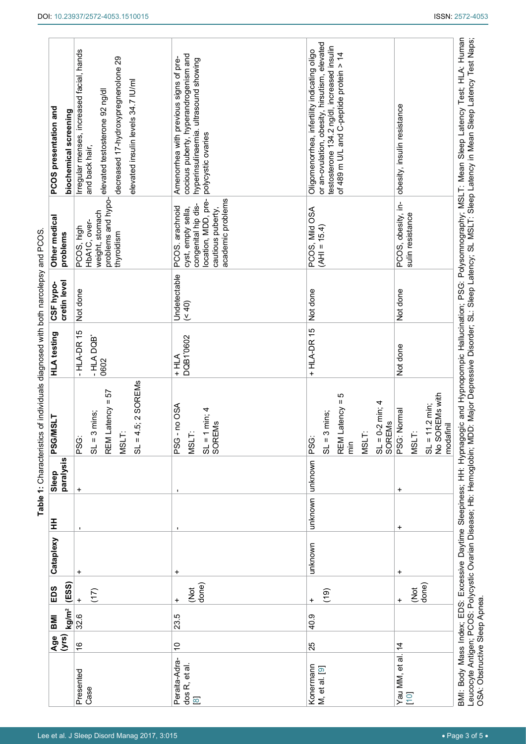|                                            | (yrs)<br>Age  | kg/m <sup>2</sup><br><b>IMI</b> | (ESS)<br>EDS            | Cataplexy | 王         | paralysis<br>Sleep | PSG/MSLT                                                                                                                                     | <b>HLA</b> testing                 | cretin level<br>CSF hypo- | Other medical<br>problems                                                                                                     | PCOS presentation and<br>biochemical screening                                                                                                                                          |
|--------------------------------------------|---------------|---------------------------------|-------------------------|-----------|-----------|--------------------|----------------------------------------------------------------------------------------------------------------------------------------------|------------------------------------|---------------------------|-------------------------------------------------------------------------------------------------------------------------------|-----------------------------------------------------------------------------------------------------------------------------------------------------------------------------------------|
| Presented<br>Case                          | $\frac{6}{5}$ | 32.6                            | (17)                    | $\ddot{}$ |           | $\ddot{}$          | $.5; 2$ SOREMs<br>REM Latency = 57<br>mins;<br>$SL = 3$<br>MSLT:<br>$5 = 13$<br>PSG:                                                         | $-HLA-DR$ 15<br>$-$ HLADQB<br>0602 | Not done                  | problems and hypo-<br>weight, stomach<br>PCOS, high<br>HbA1C, over-<br>thyroidism                                             | Irregular menses, increased facial, hands<br>decreased 17-hydroxypregnenolone 29<br>elevated insulin levels 34.7 IU/ml<br>elevated testosterone 92 ng/dl<br>and back hair,              |
| Peraita-Adra-<br>dos R, et al.<br>$\infty$ | $\tilde{c}$   | 23.5                            | done)<br>ğ<br>$\ddot{}$ | +         |           |                    | no OSA<br>$SL = 1 min; 4$<br>SOREMs<br>MSLT:<br>PSG                                                                                          | DQB1'0602<br>$+HLA$                | Undetectable<br>(40)      | academic problems<br>location, MDD, pre-<br>congenital hip dis-<br>PCOS. arachnoid<br>cautious puberty,<br>cyst, empty sella, | cocious puberty, hyperandrogenism and<br>Amenorrhea with previous signs of pre-<br>hyperinsulinaemia. ultrasound showing<br>polycystic ovaries                                          |
| Konermann<br>M, et al. [9]                 | 25            | 40.9                            | (19)<br>$\ddot{}$       | unknown   |           | unknown unknown    | ς<br>Π<br>$SL = 0-2$ min; 4<br>atency<br>mins;<br><b>SOREMS</b><br>$SL = 3$<br>REM <sub>L</sub><br>MSLT:<br>PSG:<br>$\frac{1}{\overline{E}}$ | $+$ HLA-DR 15                      | Not done                  | PCOS, Mild OSA<br>$(AH) = 15.4$                                                                                               | or an-ovulation, obesity, hirsutism, elevated<br>testosterone 134.2 ng/dl, increased insulin<br>Oligomenorrhea, infertility indicating oligo<br>of 489 m U/L and C-peptide protein > 14 |
| Yau MM, et al. 14<br>10                    |               |                                 | done)<br>ğ<br>$\ddot{}$ | +         | $\ddot{}$ | $\ddot{}$          | No SOREMs with<br>$SL = 11.2$ min;<br>PSG: Normal<br>modafinil<br>MSLT:                                                                      | Not done                           | Not done                  | PCOS, obesity, in-<br>sulin resistance                                                                                        | obesity, insulin resistance                                                                                                                                                             |

<span id="page-2-0"></span>**Table 1:** Characteristics of individuals diagnosed with both narcolepsy and PCOS.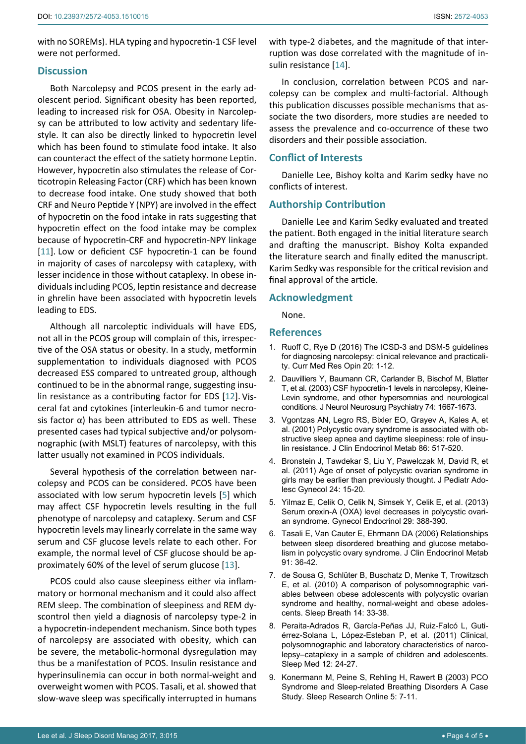with no SOREMs). HLA typing and hypocretin-1 CSF level were not performed.

# **Discussion**

Both Narcolepsy and PCOS present in the early adolescent period. Significant obesity has been reported, leading to increased risk for OSA. Obesity in Narcolepsy can be attributed to low activity and sedentary lifestyle. It can also be directly linked to hypocretin level which has been found to stimulate food intake. It also can counteract the effect of the satiety hormone Leptin. However, hypocretin also stimulates the release of Corticotropin Releasing Factor (CRF) which has been known to decrease food intake. One study showed that both CRF and Neuro Peptide Y (NPY) are involved in the effect of hypocretin on the food intake in rats suggesting that hypocretin effect on the food intake may be complex because of hypocretin-CRF and hypocretin-NPY linkage [[11](#page-4-1)]. Low or deficient CSF hypocretin-1 can be found in majority of cases of narcolepsy with cataplexy, with lesser incidence in those without cataplexy. In obese individuals including PCOS, leptin resistance and decrease in ghrelin have been associated with hypocretin levels leading to EDS.

Although all narcoleptic individuals will have EDS, not all in the PCOS group will complain of this, irrespective of the OSA status or obesity. In a study, metformin supplementation to individuals diagnosed with PCOS decreased ESS compared to untreated group, although continued to be in the abnormal range, suggesting insulin resistance as a contributing factor for EDS [[12](#page-4-2)]. Visceral fat and cytokines (interleukin-6 and tumor necrosis factor  $α$ ) has been attributed to EDS as well. These presented cases had typical subjective and/or polysomnographic (with MSLT) features of narcolepsy, with this latter usually not examined in PCOS individuals.

Several hypothesis of the correlation between narcolepsy and PCOS can be considered. PCOS have been associated with low serum hypocretin levels [[5](#page-3-4)] which may affect CSF hypocretin levels resulting in the full phenotype of narcolepsy and cataplexy. Serum and CSF hypocretin levels may linearly correlate in the same way serum and CSF glucose levels relate to each other. For example, the normal level of CSF glucose should be approximately 60% of the level of serum glucose [\[13](#page-4-3)].

PCOS could also cause sleepiness either via inflammatory or hormonal mechanism and it could also affect REM sleep. The combination of sleepiness and REM dyscontrol then yield a diagnosis of narcolepsy type-2 in a hypocretin-independent mechanism. Since both types of narcolepsy are associated with obesity, which can be severe, the metabolic-hormonal dysregulation may thus be a manifestation of PCOS. Insulin resistance and hyperinsulinemia can occur in both normal-weight and overweight women with PCOS. Tasali, et al. showed that slow-wave sleep was specifically interrupted in humans

with type-2 diabetes, and the magnitude of that interruption was dose correlated with the magnitude of insulin resistance [\[14](#page-4-4)].

In conclusion, correlation between PCOS and narcolepsy can be complex and multi-factorial. Although this publication discusses possible mechanisms that associate the two disorders, more studies are needed to assess the prevalence and co-occurrence of these two disorders and their possible association.

# **Conflict of Interests**

Danielle Lee, Bishoy kolta and Karim sedky have no conflicts of interest.

# **Authorship Contribution**

Danielle Lee and Karim Sedky evaluated and treated the patient. Both engaged in the initial literature search and drafting the manuscript. Bishoy Kolta expanded the literature search and finally edited the manuscript. Karim Sedky was responsible for the critical revision and final approval of the article.

#### **Acknowledgment**

None.

#### **References**

- <span id="page-3-2"></span>1. [Ruoff C, Rye D \(2016\) The ICSD-3 and DSM-5 guidelines](https://www.ncbi.nlm.nih.gov/pubmed/27359185)  [for diagnosing narcolepsy: clinical relevance and practicali](https://www.ncbi.nlm.nih.gov/pubmed/27359185)[ty. Curr Med Res Opin 20: 1-12.](https://www.ncbi.nlm.nih.gov/pubmed/27359185)
- <span id="page-3-0"></span>2. [Dauvilliers Y, Baumann CR, Carlander B, Bischof M, Blatter](https://www.ncbi.nlm.nih.gov/pubmed/14638887)  [T, et al. \(2003\) CSF hypocretin-1 levels in narcolepsy, Kleine-](https://www.ncbi.nlm.nih.gov/pubmed/14638887)[Levin syndrome, and other hypersomnias and neurological](https://www.ncbi.nlm.nih.gov/pubmed/14638887)  [conditions. J Neurol Neurosurg Psychiatry 74: 1667-1673.](https://www.ncbi.nlm.nih.gov/pubmed/14638887)
- <span id="page-3-1"></span>3. [Vgontzas AN, Legro RS, Bixler EO, Grayev A, Kales A, et](https://www.ncbi.nlm.nih.gov/pubmed/11158002)  [al. \(2001\) Polycystic ovary syndrome is associated with ob](https://www.ncbi.nlm.nih.gov/pubmed/11158002)[structive sleep apnea and daytime sleepiness: role of insu](https://www.ncbi.nlm.nih.gov/pubmed/11158002)[lin resistance. J Clin Endocrinol Metab 86: 517-520](https://www.ncbi.nlm.nih.gov/pubmed/11158002).
- <span id="page-3-3"></span>4. [Bronstein J, Tawdekar S, Liu Y, Pawelczak M, David R, et](https://www.ncbi.nlm.nih.gov/pubmed/21262477)  [al. \(2011\) Age of onset of polycystic ovarian syndrome in](https://www.ncbi.nlm.nih.gov/pubmed/21262477)  [girls may be earlier than previously thought. J Pediatr Ado](https://www.ncbi.nlm.nih.gov/pubmed/21262477)[lesc Gynecol 24: 15-20.](https://www.ncbi.nlm.nih.gov/pubmed/21262477)
- <span id="page-3-4"></span>5. [Yilmaz E, Celik O, Celik N, Simsek Y, Celik E, et al. \(2013\)](https://www.ncbi.nlm.nih.gov/pubmed/23350701)  [Serum orexin-A \(OXA\) level decreases in polycystic ovari](https://www.ncbi.nlm.nih.gov/pubmed/23350701)[an syndrome. Gynecol Endocrinol 29: 388-390.](https://www.ncbi.nlm.nih.gov/pubmed/23350701)
- <span id="page-3-5"></span>6. [Tasali E, Van Cauter E, Ehrmann DA \(2006\) Relationships](https://www.ncbi.nlm.nih.gov/pubmed/16219719)  [between sleep disordered breathing and glucose metabo](https://www.ncbi.nlm.nih.gov/pubmed/16219719)[lism in polycystic ovary syndrome. J Clin Endocrinol Metab](https://www.ncbi.nlm.nih.gov/pubmed/16219719)  [91: 36-42.](https://www.ncbi.nlm.nih.gov/pubmed/16219719)
- <span id="page-3-6"></span>7. [de Sousa G, Schlüter B, Buschatz D, Menke T, Trowitzsch](https://www.ncbi.nlm.nih.gov/pubmed/19585163)  [E, et al. \(2010\) A comparison of polysomnographic vari](https://www.ncbi.nlm.nih.gov/pubmed/19585163)[ables between obese adolescents with polycystic ovarian](https://www.ncbi.nlm.nih.gov/pubmed/19585163)  [syndrome and healthy, normal-weight and obese adoles](https://www.ncbi.nlm.nih.gov/pubmed/19585163)[cents. Sleep Breath 14: 33-38.](https://www.ncbi.nlm.nih.gov/pubmed/19585163)
- <span id="page-3-7"></span>8. [Peraita-Adrados R, García-Peñas JJ, Ruiz-Falcó L, Guti](https://www.ncbi.nlm.nih.gov/pubmed/21050810)[érrez-Solana L, López-Esteban P, et al. \(2011\) Clinical,](https://www.ncbi.nlm.nih.gov/pubmed/21050810)  [polysomnographic and laboratory characteristics of narco](https://www.ncbi.nlm.nih.gov/pubmed/21050810)[lepsy–cataplexy in a sample of children and adolescents.](https://www.ncbi.nlm.nih.gov/pubmed/21050810)  [Sleep Med 12: 24-27.](https://www.ncbi.nlm.nih.gov/pubmed/21050810)
- <span id="page-3-8"></span>9. [Konermann M, Peine S, Rehling H, Rawert B \(2003\) PCO](http://www.sro.org/pdf/3265.pdf)  [Syndrome and Sleep-related Breathing Disorders A Case](http://www.sro.org/pdf/3265.pdf)  [Study. Sleep Research Online 5: 7-11.](http://www.sro.org/pdf/3265.pdf)